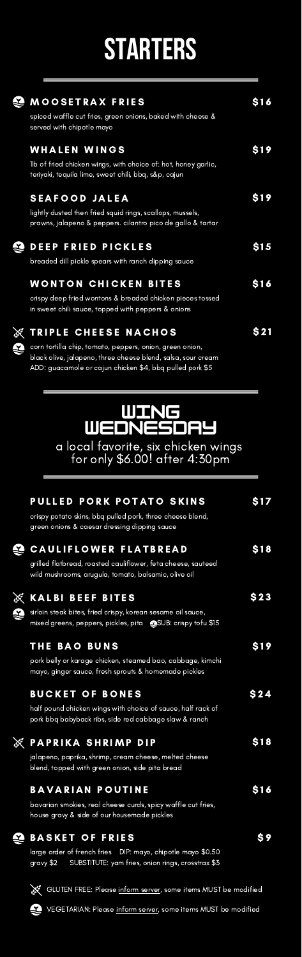# **STARTERS**

| ٥ | <b>MOOSETRAX FRIES</b><br>spiced waffle cut fries, green onions, baked with cheese &<br>served with chipotle mayo                                                                                                     | S 1 6        |
|---|-----------------------------------------------------------------------------------------------------------------------------------------------------------------------------------------------------------------------|--------------|
|   | <b>WHALEN WINGS</b><br>Ilb of fried chicken wings, with choice of: hot, honey garlic,<br>teriyaki, tequila lime, sweet chili, bbq, s&p, cajun                                                                         | <b>S19</b>   |
|   | <b>SEAFOOD JALEA</b><br>lightly dusted then fried squid rings, scallops, mussels,<br>prawns, jalapeno & peppers. cilantro pico de gallo & tartar                                                                      | S19          |
| ں | <b>DEEP FRIED PICKLES</b><br>breaded dill pickle spears with ranch dipping sauce                                                                                                                                      | S 1 <i>5</i> |
|   | WONTON CHICKEN BITES<br>crispy deep fried wontons & breaded chicken pieces tossed<br>in sweet chili sauce, topped with peppers & onions                                                                               | <b>S16</b>   |
| ٥ | <b>EXTRIPLE CHEESE NACHOS</b><br>corn tortilla chip, tomato, peppers, onion, green onion,<br>black olive, jalapeno, three cheese blend, salsa, sour cream<br>ADD: guacamole or cajun chicken \$4, bbg pulled pork \$5 |              |

**WING WEDNESDAY** a local favorite, six chicken wings for only \$6.00! after 4:30pm

|   | PULLED PORK POTATO SKINS<br>crispy potato skins, bbq pulled pork, three cheese blend,<br>green onions & caesar dressing dipping sauce                       | S17   |
|---|-------------------------------------------------------------------------------------------------------------------------------------------------------------|-------|
|   | <b>CAULIFLOWER FLATBREAD</b><br>grilled flatbread, roasted cauliflower, feta cheese, sauteed<br>wild mushrooms, arugula, tomato, balsamic, olive oil        | \$18  |
| έ | <b>KALBI BEEF BITES</b><br>sirloin steak bites, fried crispy, korean sesame oil sauce,<br>mixed greens, peppers, pickles, pita <a>SUB: crispy tofu</a> \$15 | S 2 3 |
|   | <b>THE BAO BUNS</b><br>pork belly or karage chicken, steamed bao, cabbage, kimchi<br>mayo, ginger sauce, fresh sprouts & homemade pickles                   | S19   |
|   | <b>BUCKET OF BONES</b><br>half pound chicken wings with choice of sauce, half rack of<br>pork bbg babyback ribs, side red cabbage slaw & ranch              | \$24  |
|   | <b>PAPRIKA SHRIMP DIP</b><br>jalapeno, paprika, shrimp, cream cheese, melted cheese<br>blend, topped with green onion, side pita bread                      | \$18  |
|   | <b>BAVARIAN POUTINE</b><br>bavarian smokies, real cheese curds, spicy waffle cut fries,<br>house gravy & side of our housemade pickles                      | S16   |
|   | <b>BASKET OF FRIES</b><br>large order of french fries DIP: mayo, chipotle mayo \$0.50<br>SUBSTITUTE: yam fries, onion rings, crosstrax \$3<br>gravy \$2     | S 9   |

网络

ě

GLUTEN FREE: Please inform server, some items MUST be modified

VEGETARIAN: Please inform server, some items MUST be modified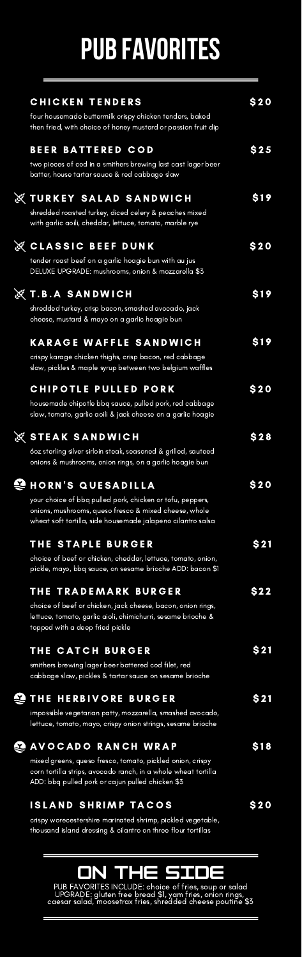## **PUB FAVORITES**

| <b>CHICKEN TENDERS</b><br>four housemade buttermilk crispy chicken tenders, baked<br>then fried, with choice of honey mustard or passion fruit dip                                                                 | <b>\$20</b> |
|--------------------------------------------------------------------------------------------------------------------------------------------------------------------------------------------------------------------|-------------|
| <b>BEER BATTERED COD</b><br>two pieces of cod in a smithers brewing last cast lager beer<br>batter, house tartar sauce & red cabbage slaw                                                                          | \$25        |
| <u>E TURKEY SALAD SANDWICH</u><br>shredded roasted turkey, diced celery & peaches mixed<br>with garlic aoili, cheddar, lettuce, tomato, marble rye                                                                 | S19         |
| Ę,<br><b>CLASSIC BEEF</b><br>DUNK<br>tender roast beef on a garlic hoagie bun with au jus<br>DELUXE UPGRADE: mushrooms, onion & mozzarella \$3                                                                     | <b>\$20</b> |
| <b>《Т.В.А SANDWICH</b><br>shredded turkey, crisp bacon, smashed avocado, jack<br>cheese, mustard & mayo on a garlic hoagie bun                                                                                     | S 1 9       |
| <b>KARAGE WAFFLE SANDWICH</b><br>crispy karage chicken thighs, crisp bacon, red cabbage<br>slaw, pickles & maple syrup between two belgium waffles                                                                 | S19         |
| <b>CHIPOTLE</b><br><b>PULLED PORK</b><br>housemade chipotle bbq sauce, pulled pork, red cabbage<br>slaw, tomato, garlic aoili & jack cheese on a garlic hoagie                                                     | <b>S20</b>  |
| ę,<br><b>STEAK SANDWICH</b><br>60z sterling silver sirloin steak, seasoned & grilled, sauteed<br>onions & mushrooms, onion rings, on a garlic hoagie bun                                                           | \$28        |
| ں<br><b>HORN'S QUESADILLA</b><br>your choice of bbq pulled pork, chicken or tofu, peppers,<br>onions, mushrooms, queso fresco & mixed cheese, whole<br>wheat soft tortilla, side housemade jalapeno cilantro salsa | <b>S20</b>  |
| <b>THE STAPLE BURGER</b><br>choice of beef or chicken, cheddar, lettuce, tomato, onion,<br>pickle, mayo, bbq sauce, on sesame brioche ADD: bacon \$1                                                               | \$21        |
| <b>TRADEMARK BURGER</b><br>THE<br>choice of beef or chicken, jack cheese, bacon, onion rings,<br>lettuce, tomato, garlic aioli, chimichurri, sesame brioche &<br>topped with a deep fried pickle                   | \$22        |
| THE CATCH BURGER<br>smithers brewing lager beer battered cod filet, red<br>cabbage slaw, pickles & tartar sauce on sesame brioche                                                                                  | \$21        |
| ں<br><b>THE HERBIVORE BURGER</b><br>impossible vegetarian patty, mozzarella, smashed avocado,<br>lettuce, tomato, mayo, crispy onion strings, sesame brioche                                                       | \$21        |
| ۵<br><b>AVOCADO RANCH WRAP</b><br>mixed greens, queso fresco, tomato, pickled onion, crispy<br>corn tortilla strips, avocado ranch, in a whole wheat tortilla<br>ADD: bbq pulled pork or cajun pulled chicken \$3  | \$18        |

è

**ISLAND SHRIMP TACOS** 

E

crispy worecestershire marinated shrimp, pickled vegetable, thousand island dressing & cilantro on three flour tortillas

#### **ON THE SIDE**

\$ 2 0

PUB FAVORITES INCLUDE: choice of fries, soup or salad UPGRADE: gluten free bread \$1, yam fries, onion rings, caesar salad, moosetrax fries, shredded cheese poutine \$3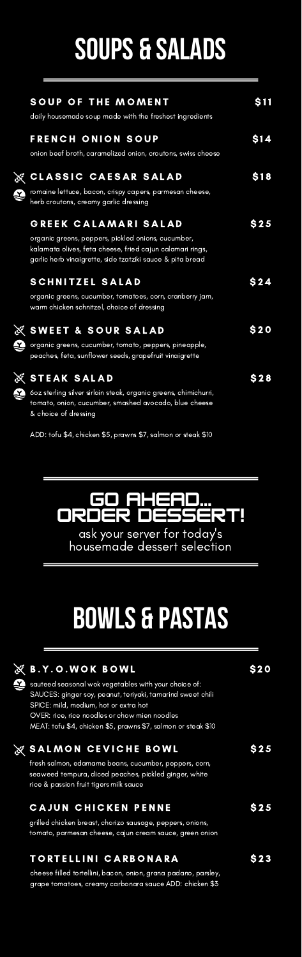## **SOUPS & SALADS**

|   | <b>SOUP OF THE MOMENT</b><br>daily housemade soup made with the freshest ingredients                                                                                                                 | S 11        |
|---|------------------------------------------------------------------------------------------------------------------------------------------------------------------------------------------------------|-------------|
|   | <b>FRENCH ONION SOUP</b><br>onion beef broth, caramelized onion, croutons, swiss cheese                                                                                                              | <b>S</b> 14 |
| 2 | <b>X CLASSIC CAESAR SALAD</b><br>romaine lettuce, bacon, crispy capers, parmesan cheese,<br>herb croutons, creamy garlic dressing                                                                    | S18         |
|   | GREEK CALAMARI SALAD<br>organic greens, peppers, pickled onions, cucumber,<br>kalamata olives, feta cheese, fried cajun calamari rings,<br>garlic herb vinaigrette, side tzatziki sauce & pita bread | S 2 5       |
|   | <b>SCHNITZEL SALAD</b><br>organic greens, cucumber, tomatoes, corn, cranberry jam,<br>warm chicken schnitzel, choice of dressing                                                                     | S 2 4       |
| x | ※ SWEET & SOUR SALAD<br>organic greens, cucumber, tomato, peppers, pineapple,<br>peaches, feta, sunflower seeds, grapefruit vinaigrette                                                              | <b>S20</b>  |
| 2 | STEAK SALAD<br>óoz sterling silver sirloin steak, organic greens, chimichurri,<br>tomato, onion, cucumber, smashed avocado, blue cheese<br>& choice of dressing                                      | S 2 8       |

ADD: tofu \$4, chicken \$5, prawns \$7, salmon or steak \$10



ask your server for today's housemade dessert selection

## **BOWLS & PASTAS**

| <b>B.Y.O.WOK BOWL</b><br>sauteed seasonal wok vegetables with your choice of:<br>SAUCES: ginger soy, peanut, teriyaki, tamarind sweet chili<br>SPICE: mild, medium, hot or extra hot   |  |
|----------------------------------------------------------------------------------------------------------------------------------------------------------------------------------------|--|
| OVER: rice, rice noodles or chow mien noodles<br>MEAT: tofu \$4, chicken \$5, prawns \$7, salmon or steak \$10                                                                         |  |
| <b>SALMON CEVICHE BOWL</b><br>fresh salmon, edamame beans, cucumber, peppers, corn,<br>seaweed tempura, diced peaches, pickled ginger, white<br>rice & passion fruit tigers milk sauce |  |
| <b>CAJUN CHICKEN PENNE</b><br>grilled chicken breast, chorizo sausage, peppers, onions,<br>tomato, parmesan cheese, cajun cream sauce, green onion                                     |  |
| TORTELLINI CARBONARA                                                                                                                                                                   |  |

è

cheese filled tortellini, bacon, onion, grana padano, parsley, grape tomatoes, creamy carbonara sauce ADD: chicken \$3